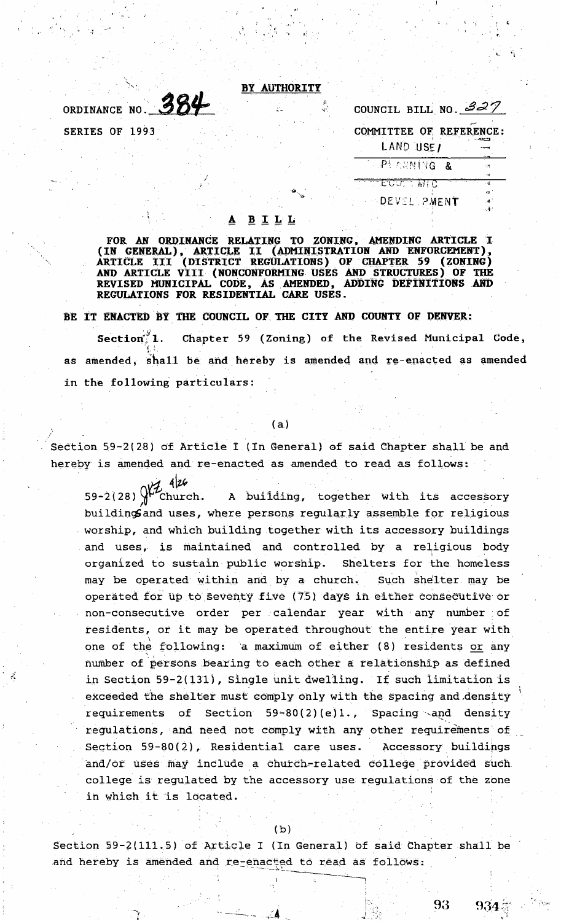## BY AUTHORITY

ORDINANCE NO. 384 SERIES OF 1993

| COUNCIL BILL NO. $32/$  |               |
|-------------------------|---------------|
| COMMITTEE OF REFERENCE: |               |
| LAND USE/               |               |
| APEARNING &             |               |
|                         | ⊶<br>न्त्री । |
| <b>DEVEL PMENT</b>      |               |

#### $\underline{\mathbf{B}}$   $\underline{\mathbf{I}}$   $\underline{\mathbf{L}}$   $\underline{\mathbf{L}}$

FOR AN ORDINANCE RELATING TO ZONING, AMENDING ARTICLE I<br>(IN GENERAL), ARTICLE II (ADMINISTRATION AND ENFORCEMENT),<br>ARTICLE III (DISTRICT REGULATIONS) OF CHAPTER 59 (ZONING) **ARTICLE III** AND ARTICLE VIII (NONCONFORMING USES AND STRUCTURES) OF THE REVISED MUNICIPAL CODE, AS AMENDED, ADDING DEFINITIONS AND REGULATIONS FOR RESIDENTIAL CARE USES.

BE IT ENACTED BY THE COUNCIL OF THE CITY AND COUNTY OF DENVER:

Chapter 59 (Zoning) of the Revised Municipal Code, Section 1. as amended, shall be and hereby is amended and re-enacted as amended in the following particulars:

## $(a)$

Section 59-2(28) of Article I (In General) of said Chapter shall be and hereby is amended and re-enacted as amended to read as follows:

 $7.4126$  $59 - 2(28)$ A building, together with its accessory Church. building and uses, where persons regularly assemble for religious worship, and which building together with its accessory buildings and uses, is maintained and controlled by a religious body organized to sustain public worship. Shelters for the homeless may be operated within and by a church. Such shelter may be operated for up to seventy five (75) days in either consecutive or non-consecutive order per calendar year with any number of residents, or it may be operated throughout the entire year with one of the following: a maximum of either (8) residents or any number of persons bearing to each other a relationship as defined in Section 59-2(131), Single unit dwelling. If such limitation is exceeded the shelter must comply only with the spacing and density requirements of Section 59-80(2)(e)1., Spacing and density regulations, and need not comply with any other requirements of Section 59-80(2), Residential care uses. Accessory buildings and/or uses may include a church-related college provided such college is regulated by the accessory use regulations of the zone in which it is located.

Section 59-2(111.5) of Article I (In General) of said Chapter shall be and hereby is amended and re-enacted to read as follows:

 $934%$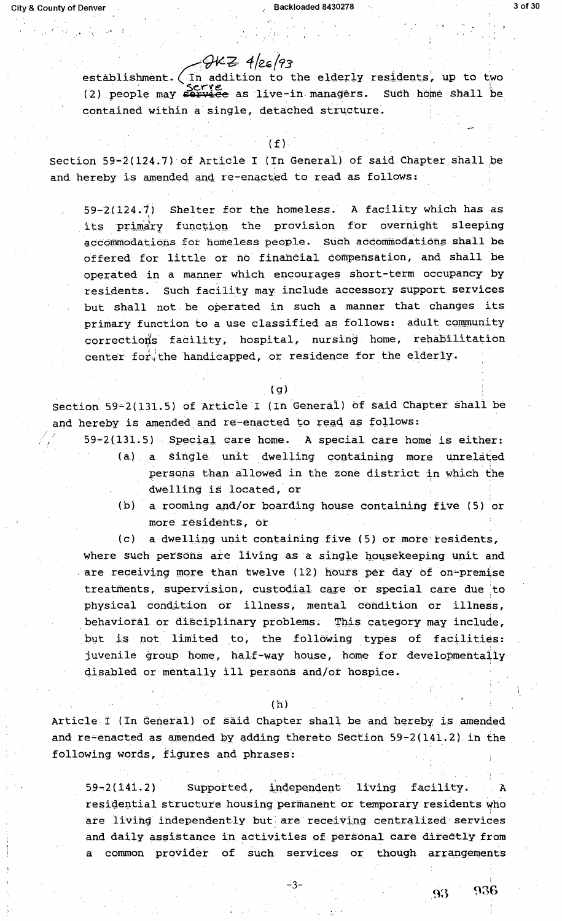# . · · · /9¥"6 *4/u(e,3*

, and the set of the set of the set of the set of the set of the set of the set of the set of the set of the set of the set of the set of the set of the set of the set of the set of the set of the set of the set of the se

establishment. (In addition to the elderly residents, up to two (2) people may **serve** as live-in managers. Such home shall be contained within a single, detached structure.

### $(f)$

section 59-2(124.7) of Article I (In General) of said Chapter shall be and hereby is amended and re-enacted to read as follows:

59-2(124.7) Shelter for the homeless. A facility which has as its primary function the provision for overnight sleeping accommodations for homeless people. Such accommodations shall be offered for little or no· financial compensation, and shall be operated in a manner which encourages short-term occupancy by residents. such facility may include accessory support services but shall not. be operated in such a manner that changes its primary function to a use classified as follows: adult community corrections facility, hospital, nursing home, rehabilitation center for the handicapped, or residence for the elderly.

### $(q)$

Section 59-2(131.5) of Article I (In General) of said Chapter shall be and hereby is amended and re-enacted to read as follows:

- $59-2(131.5)$  Special care home. A special care home is either: (a) a single unit dwelling containing more unrelated persons than allowed in the zone district in which the dwelling is located, or
	- (b) a rooming and/or boarding house containing five (5) or more residents, or

 $(c)$  a dwelling unit containing five (5) or more residents, where such persons are living as a single housekeeping unit and are receiving more than twelve (12) hours per day of on-premise treatments, supervision, custodial care or special care due to physical condition or illness, mental condition or illness, behavioral or disciplinary problems. This category may include, but is not limited to, the following types of facilities: juvenile group home, half-way house, home for developmentally disabled or mentally ill persons and/or hospice.

### ( h)

Article I (In General) of said Chapter shall be and hereby is amended and re-enacted as amended by adding thereto Section 59-2 ( $141.2$ ) in the following words, figures and phrases:

59-2(141.2) Supported, independent living facility. A residential structure housing permanent or temporary residents who are living independently but are receiving centralized services and daily assistance in activities of personal care directly from a common provider of such services or though arrangements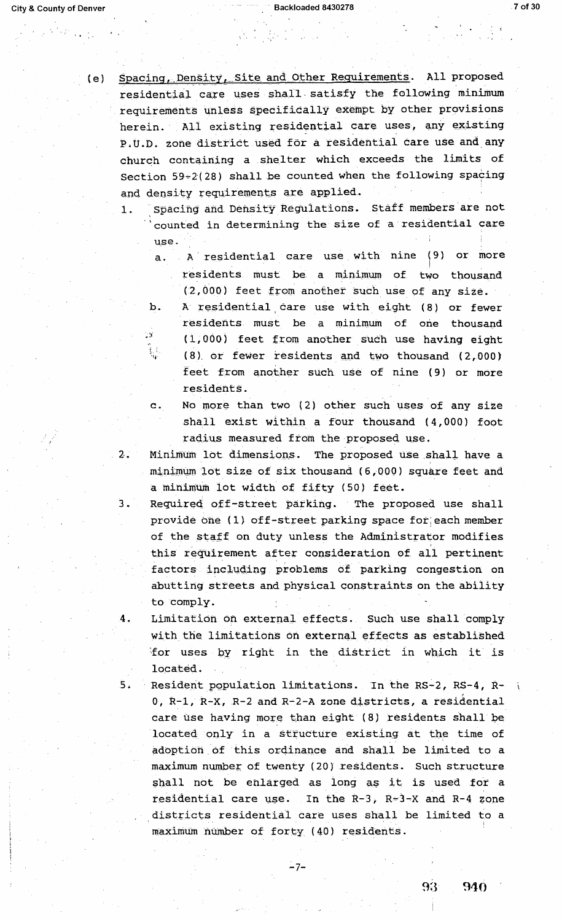$\frac{1}{2}$  ,  $\frac{1}{2}$  ,

(e) Spacing, Density, Site and Other Requirements. All proposed residential care uses shall satisfy the following minimum requirements unless specifically exempt by other provisions herein. All existing residential care uses, any existing P.U.D. zone district used for a residential care use and any church containing a .shelter which exceeds the limits of Section  $59-2(28)$  shall be counted when the following spacing and density requirements are applied.

- 1. Spacing and Density Regulations. Staff members are not counted in determining the size of a residential care use.
	- a. A residential care use with nine (9) or more residents must be a minimum of two thousand  $(2,000)$  feet from another such use of any size.
	- b. A residential care use with eight (8) or fewer residents must be a minimum of one thousand (1,000) feet from another such use having eight (8) or fewer residents and two thousand  $(2,000)$ feet from another such use of nine ( 9) or more residents.
	- c. No more than two (2) other such uses of any size shall exist within a four thousand (4,000) foot radius measured from the proposed use.
- 2. Minimum lot dimensions. The proposed use shall have a minimum lot size of six thousand  $(6,000)$  square feet and a minimum iot width of fifty (50) feet.
- 3. Required off-street parking. The proposed use shall provide one (1) off-street parking space for; each member of the staff on duty unless the Administrator modifies this requirement after consideration of all pertinent ' ' ' factors including problems of parking congestion on abutting streets and physical constraints on the ability to comply.
- 4. Limitation on external effects. Such use shall comply with the limitations on external effects as established for uses by right in the district in which it is located.
- 5. Resident population limitations. In the RS-2, RS-4, Ro, R-1, R-X, R-2 and R-2-A zone districts, a residential care use having more than eight (8) residents shall be located only in a structure existing at the time of adoption of this ordinance and shall be limited to a maximum number of twenty ( 20) residents. Such structure shall not be enlarged as long as it is used for a residential care use. In the R-3, R-3-X and R-4 zone districts residential care uses shall be limited to a maximum number of forty (40) residents.

-7-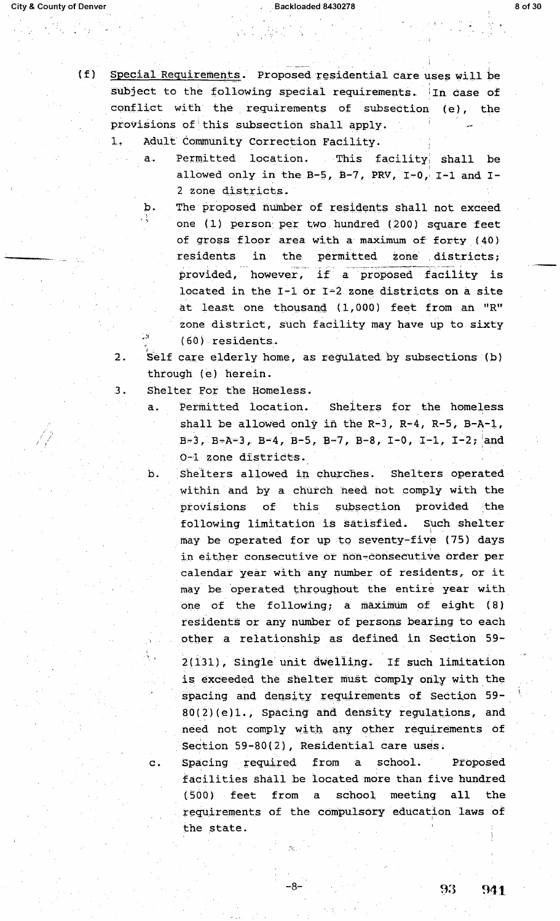(f) Special Requirements. Proposed residential care uses will be subject to the following special requirements. In case of conflict with the requirements of subsection (e), the provisions of this subsection shall apply.

1. Adult Community correction Facility.

- a. Permitted location. This facility shall be allowed only in the B-5, B-7, PRV, I-0, I-1 and I-2 zone districts.
- b. The proposed number of residents shall not exceed one (1) person per two hundred (200) square feet of gross floor area with a maximum of forty (40) residents in the permitted zone districts; provided, however, if a proposed facility is located in the  $I-1$  or  $I-2$  zone districts on a site at least one thousand  $(1,000)$  feet from an "R" zone district, such facility may have up to sixty ( 60) -residents..
- 2. Self care elderly home, as regulated by subsections (b) through (e) herein.

3. Shelter for the Homeless.

- a. Permitted location. Shelters for the homeless shall be allowed only in the R-3, R-4, R-5, B-A-1,  $B=3$ ,  $B=A-3$ ,  $B-4$ ,  $B-5$ ,  $B-7$ ,  $B-8$ ,  $I-0$ ,  $I-1$ ,  $I-2$ ; and 0-1 zone districts.
- b. Shelters allowed in churches. Shelters operated within and by a church need not comply with the provisions of this subsection provided the following limitation is satisfied.. such. shelter may be operated for up to seventy-five (75) days in either consecutive or non-consecutive order per calendar year with any nwnber of residents, or it may be operated throughout the entire year with one of the following; a maximum of eight  $(8)$ residents or any number of persons bearing to each other a relationship as defined in Section 59-
	- 2(131), Single unit dwelling. If such limitation is exceeded the shelter must comply only with the spacing and density requirements of Section 59- $80(2)(e)1.$ , Spacing and density regulations, and need not comply with any other requirements of Section 59-80(2), Residential care uses.

c. Spacing required from a school. Proposed facilities shall be located more than five hundred ( 500) feet from a school meeting all the requirements of the compulsory education laws of the state.

-8-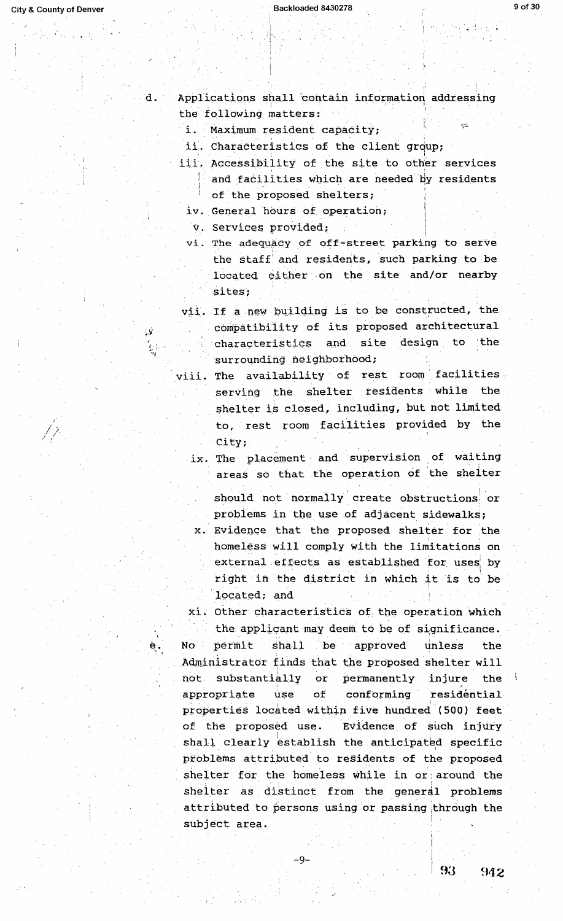٦.

 $\overline{C}$ 

Applications shall contain information addressing the following matters:

 $\mathbf{i}$ . Maximum resident capacity;

ii. Characteristics of the client group;

- iii. Accessibility of the site to other services and facilities which are needed by residents of the proposed shelters;
	- iv. General hours of operation;

v. Services provided;

- vi. The adequacy of off-street parking to serve the staff and residents, such parking to be located either on the site and/or nearby sites;
- vii. If a new building is to be constructed, the compatibility of its proposed architectural characteristics and site design to the surrounding neighborhood;
- viii. The availability of rest room facilities serving the shelter residents while the shelter is closed, including, but not limited to, rest room facilities provided by the City;
	- ix. The placement and supervision of waiting areas so that the operation of the shelter
		- should not normally create obstructions or problems in the use of adjacent sidewalks;
	- x. Evidence that the proposed shelter for the homeless will comply with the limitations on external effects as established for uses by right in the district in which it is to be located; and
- xi. Other characteristics of the operation which the applicant may deem to be of significance. permit shall be approved No unless the Administrator finds that the proposed shelter will substantially  $o**r**$ permanently injure not. the i appropriate **use** of conforming residéntial properties located within five hundred (500) feet of the proposed use. Evidence of such injury shall clearly establish the anticipated specific problems attributed to residents of the proposed shelter for the homeless while in or around the shelter as distinct from the general problems attributed to persons using or passing through the subject area.

 $-9-$ 

93

942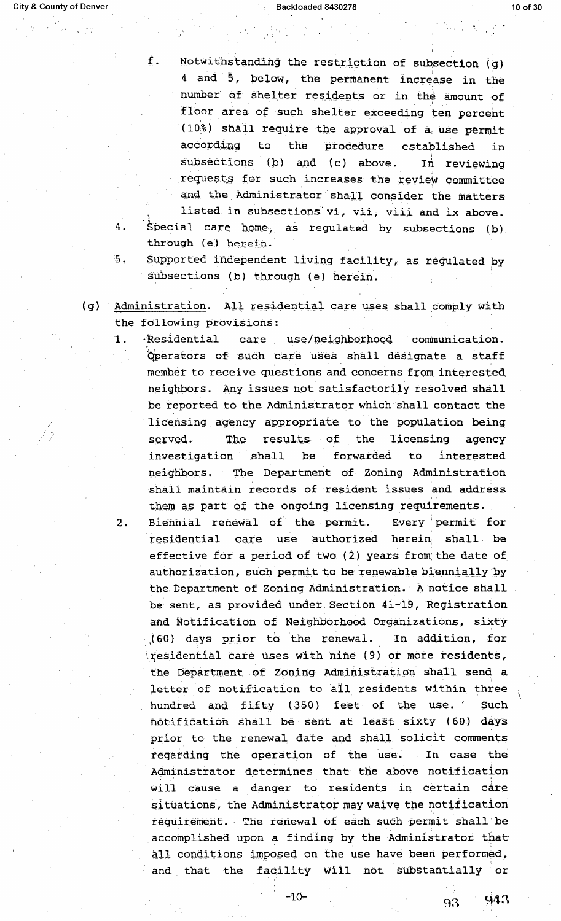**City & County of Denver** 

 $4.$ 

1.

 $2.$ 

Ė. Notwithstanding the restriction of subsection (g) 4 and 5, below, the permanent increase in the number of shelter residents or in the amount of floor area of such shelter exceeding ten percent (10%) shall require the approval of a use permit according to the procedure established in subsections (b) and (c) above. In reviewing requests for such increases the review committee and the Administrator shall consider the matters listed in subsections vi, vii, viii and ix above. Special care home, as regulated by subsections (b) through (e) herein.

- 5. Supported independent living facility, as regulated by subsections (b) through (e) herein.
- (g) Administration. All residential care uses shall comply with the following provisions:
	- Residential care use/neighborhood communication. Operators of such care uses shall designate a staff member to receive questions and concerns from interested neighbors. Any issues not satisfactorily resolved shall be reported to the Administrator which shall contact the licensing agency appropriate to the population being served. **The** results of the licensing agency investigation shall be forwarded to interested neighbors. The Department of Zoning Administration shall maintain records of resident issues and address them as part of the ongoing licensing requirements.
	- Biennial renewal of the permit. Every permit for residential care use authorized herein shall be effective for a period of two (2) years from the date of authorization, such permit to be renewable biennially by the Department of Zoning Administration. A notice shall be sent, as provided under Section 41-19, Registration and Notification of Neighborhood Organizations, sixty (60) days prior to the renewal. In addition, for tresidential care uses with nine (9) or more residents, the Department of Zoning Administration shall send a letter of notification to all residents within three hundred and fifty (350) feet of the use. Such notification shall be sent at least sixty (60) days prior to the renewal date and shall solicit comments regarding the operation of the use. In case the Administrator determines that the above notification will cause a danger to residents in certain care situations, the Administrator may waive the notification requirement. The renewal of each such permit shall be accomplished upon a finding by the Administrator that all conditions imposed on the use have been performed, and that the facility will not substantially or

943 93